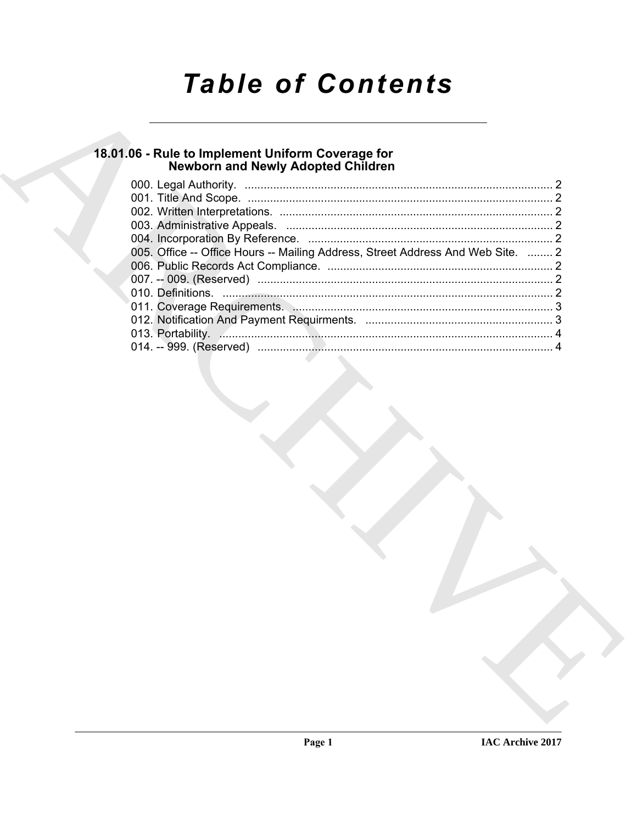# **Table of Contents**

# 18.01.06 - Rule to Implement Uniform Coverage for<br>Newborn and Newly Adopted Children

| 005. Office -- Office Hours -- Mailing Address, Street Address And Web Site.  2 |  |
|---------------------------------------------------------------------------------|--|
|                                                                                 |  |
|                                                                                 |  |
|                                                                                 |  |
|                                                                                 |  |
|                                                                                 |  |
|                                                                                 |  |
|                                                                                 |  |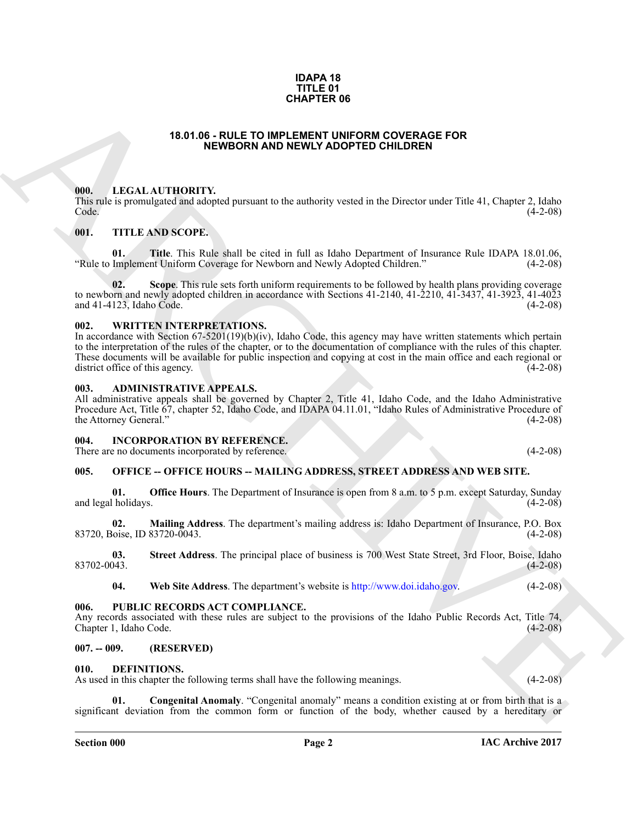#### **IDAPA 18 TITLE 01 CHAPTER 06**

#### **18.01.06 - RULE TO IMPLEMENT UNIFORM COVERAGE FOR NEWBORN AND NEWLY ADOPTED CHILDREN**

#### <span id="page-1-1"></span><span id="page-1-0"></span>**000. LEGAL AUTHORITY.**

This rule is promulgated and adopted pursuant to the authority vested in the Director under Title 41, Chapter 2, Idaho Code. (4-2-08)

#### <span id="page-1-2"></span>**001. TITLE AND SCOPE.**

**01.** Title. This Rule shall be cited in full as Idaho Department of Insurance Rule IDAPA 18.01.06, Implement Uniform Coverage for Newborn and Newly Adopted Children." (4-2-08) "Rule to Implement Uniform Coverage for Newborn and Newly Adopted Children."

**Scope**. This rule sets forth uniform requirements to be followed by health plans providing coverage to newborn and newly adopted children in accordance with Sections  $41-2140$ ,  $41-2210$ ,  $41-3437$ ,  $41-3923$ ,  $41-4023$ <br>and  $41-4123$ , Idaho Code. (4-2-08) and  $41-4123$ , Idaho Code.

#### <span id="page-1-3"></span>**002. WRITTEN INTERPRETATIONS.**

**CHAPTER OF**<br> **EXAMPLE TO HAPENET ON CONFERENCE PORTIFICATION**<br> **EXAMPLE TO HAPENET AND DEPEND CONFERENCE PORTIFICATION**<br>
THE LIGATION CONFERENCE CONFERENCE INTO THE CONFERENCE CONFERENCE CONFERENCE CONFERENCE CONFERENCE In accordance with Section 67-5201(19)(b)(iv), Idaho Code, this agency may have written statements which pertain to the interpretation of the rules of the chapter, or to the documentation of compliance with the rules of this chapter. These documents will be available for public inspection and copying at cost in the main office and each regional or district office of this agency. (4-2-08)

#### <span id="page-1-4"></span>**003. ADMINISTRATIVE APPEALS.**

All administrative appeals shall be governed by Chapter 2, Title 41, Idaho Code, and the Idaho Administrative Procedure Act, Title 67, chapter 52, Idaho Code, and IDAPA 04.11.01, "Idaho Rules of Administrative Procedure of the Attorney General." (4-2-08) the Attorney General."

#### <span id="page-1-5"></span>**004. INCORPORATION BY REFERENCE.**

There are no documents incorporated by reference. (4-2-08)

#### <span id="page-1-6"></span>**005. OFFICE -- OFFICE HOURS -- MAILING ADDRESS, STREET ADDRESS AND WEB SITE.**

**01. Office Hours**. The Department of Insurance is open from 8 a.m. to 5 p.m. except Saturday, Sunday (4-2-08) and legal holidays.

**02. Mailing Address**. The department's mailing address is: Idaho Department of Insurance, P.O. Box 83720, Boise, ID 83720-0043. (4-2-08)

**03.** Street Address. The principal place of business is 700 West State Street, 3rd Floor, Boise, Idaho (4-2-08) 83702-0043. (4-2-08)

**04. Web Site Address**. The department's website is http://www.doi.idaho.gov. (4-2-08)

#### <span id="page-1-7"></span>**006. PUBLIC RECORDS ACT COMPLIANCE.**

Any records associated with these rules are subject to the provisions of the Idaho Public Records Act, Title 74, Chapter 1, Idaho Code. (4-2-08)

#### <span id="page-1-8"></span>**007. -- 009. (RESERVED)**

#### <span id="page-1-10"></span><span id="page-1-9"></span>**010. DEFINITIONS.**

As used in this chapter the following terms shall have the following meanings. (4-2-08)

<span id="page-1-11"></span>**Congenital Anomaly**. "Congenital anomaly" means a condition existing at or from birth that is a significant deviation from the common form or function of the body, whether caused by a hereditary or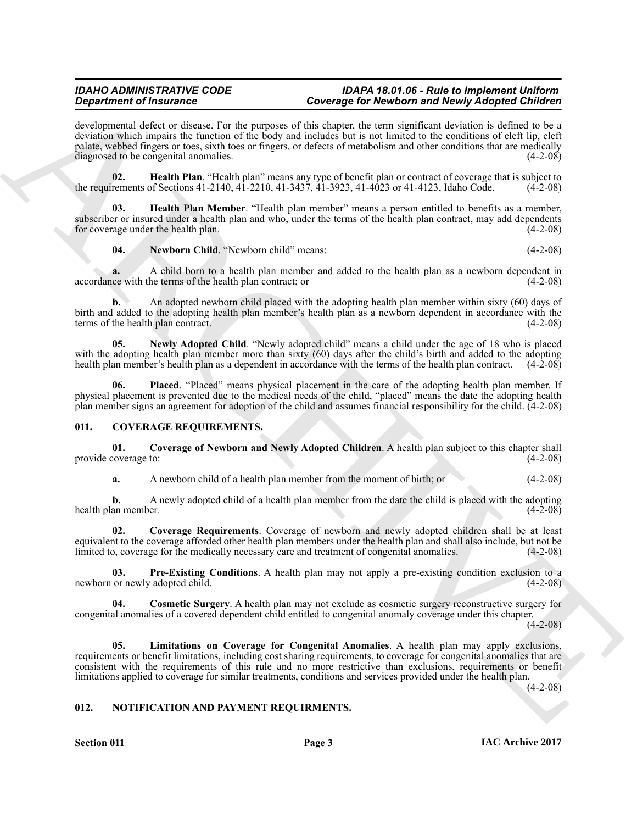#### *IDAHO ADMINISTRATIVE CODE IDAPA 18.01.06 - Rule to Implement Uniform Department of Insurance Coverage for Newborn and Newly Adopted Children*

Gradrian of Hustmann's Christmas (Southern Christmas 1980) Newton newton Newton Newton Newton Newton Newton Newton Newton Newton Newton Newton Newton Newton Newton Newton Newton Newton Newton Newton Newton Newton Newton N developmental defect or disease. For the purposes of this chapter, the term significant deviation is defined to be a deviation which impairs the function of the body and includes but is not limited to the conditions of cleft lip, cleft palate, webbed fingers or toes, sixth toes or fingers, or defects of metabolism and other conditions that are medically diagnosed to be congenital anomalies. (4-2-08)

<span id="page-2-8"></span>**02.** Health Plan. "Health plan" means any type of benefit plan or contract of coverage that is subject to rements of Sections 41-2140, 41-2210, 41-3437, 41-3923, 41-4023 or 41-4123, Idaho Code. (4-2-08) the requirements of Sections 41-2140,  $4\overline{1}$ -2210,  $41\overline{1}$ -3437,  $4\overline{1}$ -3923,  $41\overline{1}$ -4023 or 41-4123, Idaho Code.

**03. Health Plan Member**. "Health plan member" means a person entitled to benefits as a member, subscriber or insured under a health plan and who, under the terms of the health plan contract, may add dependents for coverage under the health plan. (4-2-08) for coverage under the health plan.

<span id="page-2-10"></span><span id="page-2-9"></span>**04. Newborn Child**. "Newborn child" means: (4-2-08)

**a.** A child born to a health plan member and added to the health plan as a newborn dependent in ce with the terms of the health plan contract; or  $(4-2-08)$ accordance with the terms of the health plan contract; or

**b.** An adopted newborn child placed with the adopting health plan member within sixty (60) days of birth and added to the adopting health plan member's health plan as a newborn dependent in accordance with the terms of the health plan contract.

<span id="page-2-11"></span>**05. Newly Adopted Child**. "Newly adopted child" means a child under the age of 18 who is placed with the adopting health plan member more than sixty  $(60)$  days after the child's birth and added to the adopting health plan member's health plan as a dependent in accordance with the terms of the health plan contract. health plan member's health plan as a dependent in accordance with the terms of the health plan contract.

<span id="page-2-12"></span>**06. Placed**. "Placed" means physical placement in the care of the adopting health plan member. If physical placement is prevented due to the medical needs of the child, "placed" means the date the adopting health plan member signs an agreement for adoption of the child and assumes financial responsibility for the child. (4-2-08)

#### <span id="page-2-2"></span><span id="page-2-0"></span>**011. COVERAGE REQUIREMENTS.**

**01.** Coverage of Newborn and Newly Adopted Children. A health plan subject to this chapter shall coverage to: (4-2-08) provide coverage to:

<span id="page-2-5"></span><span id="page-2-4"></span>**a.** A newborn child of a health plan member from the moment of birth; or (4-2-08)

**b.** A newly adopted child of a health plan member from the date the child is placed with the adopting an member. (4-2-08) health plan member.

**02. Coverage Requirements**. Coverage of newborn and newly adopted children shall be at least equivalent to the coverage afforded other health plan members under the health plan and shall also include, but not be limited to, coverage for the medically necessary care and treatment of congenital anomalies. (4-2-08) limited to, coverage for the medically necessary care and treatment of congenital anomalies.

<span id="page-2-7"></span>**03.** Pre-Existing Conditions. A health plan may not apply a pre-existing condition exclusion to a or newly adopted child. (4-2-08) newborn or newly adopted child.

<span id="page-2-3"></span>**04. Cosmetic Surgery**. A health plan may not exclude as cosmetic surgery reconstructive surgery for congenital anomalies of a covered dependent child entitled to congenital anomaly coverage under this chapter.

 $(4-2-08)$ 

<span id="page-2-6"></span>**05. Limitations on Coverage for Congenital Anomalies**. A health plan may apply exclusions, requirements or benefit limitations, including cost sharing requirements, to coverage for congenital anomalies that are consistent with the requirements of this rule and no more restrictive than exclusions, requirements or benefit limitations applied to coverage for similar treatments, conditions and services provided under the health plan.

 $(4-2-08)$ 

#### <span id="page-2-13"></span><span id="page-2-1"></span>**012. NOTIFICATION AND PAYMENT REQUIRMENTS.**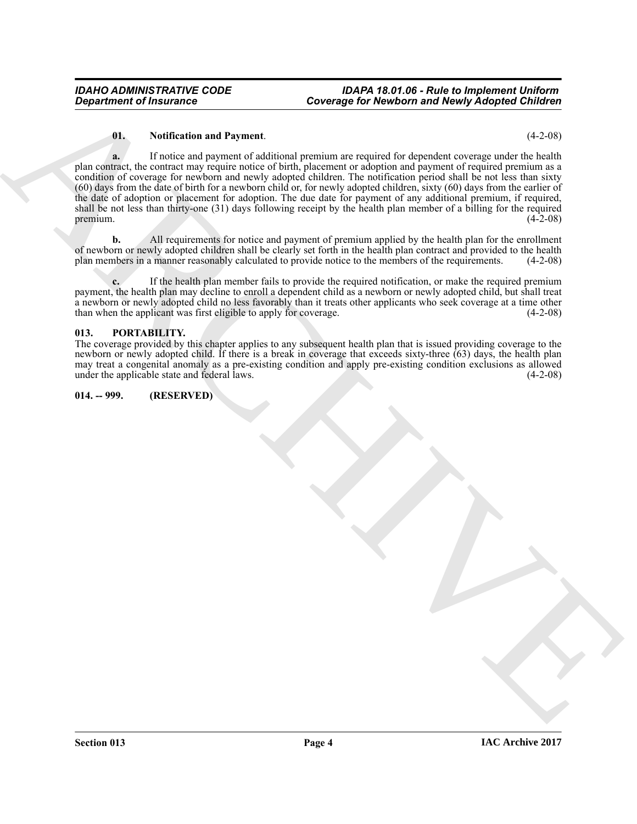#### <span id="page-3-2"></span>**01. Notification and Payment**. (4-2-08)

Government of financial terms of the property of the Newtonia and Property of the Control of the Control of the Control of the Control of the Control of the Control of the Control of the Control of the Control of the Cont **a.** If notice and payment of additional premium are required for dependent coverage under the health plan contract, the contract may require notice of birth, placement or adoption and payment of required premium as a condition of coverage for newborn and newly adopted children. The notification period shall be not less than sixty (60) days from the date of birth for a newborn child or, for newly adopted children, sixty (60) days from the earlier of the date of adoption or placement for adoption. The due date for payment of any additional premium, if required, shall be not less than thirty-one (31) days following receipt by the health plan member of a billing for the required  $p$ remium.  $(4-2-08)$ 

**b.** All requirements for notice and payment of premium applied by the health plan for the enrollment of newborn or newly adopted children shall be clearly set forth in the health plan contract and provided to the health plan members in a manner reasonably calculated to provide notice to the members of the requirements. (4 plan members in a manner reasonably calculated to provide notice to the members of the requirements.

**c.** If the health plan member fails to provide the required notification, or make the required premium payment, the health plan may decline to enroll a dependent child as a newborn or newly adopted child, but shall treat a newborn or newly adopted child no less favorably than it treats other applicants who seek coverage at a time other than when the applicant was first eligible to apply for coverage. (4-2-08)

#### <span id="page-3-3"></span><span id="page-3-0"></span>**013. PORTABILITY.**

The coverage provided by this chapter applies to any subsequent health plan that is issued providing coverage to the newborn or newly adopted child. If there is a break in coverage that exceeds sixty-three (63) days, the health plan may treat a congenital anomaly as a pre-existing condition and apply pre-existing condition exclusions as allowed under the applicable state and federal laws. (4-2-08)

#### <span id="page-3-1"></span>**014. -- 999. (RESERVED)**